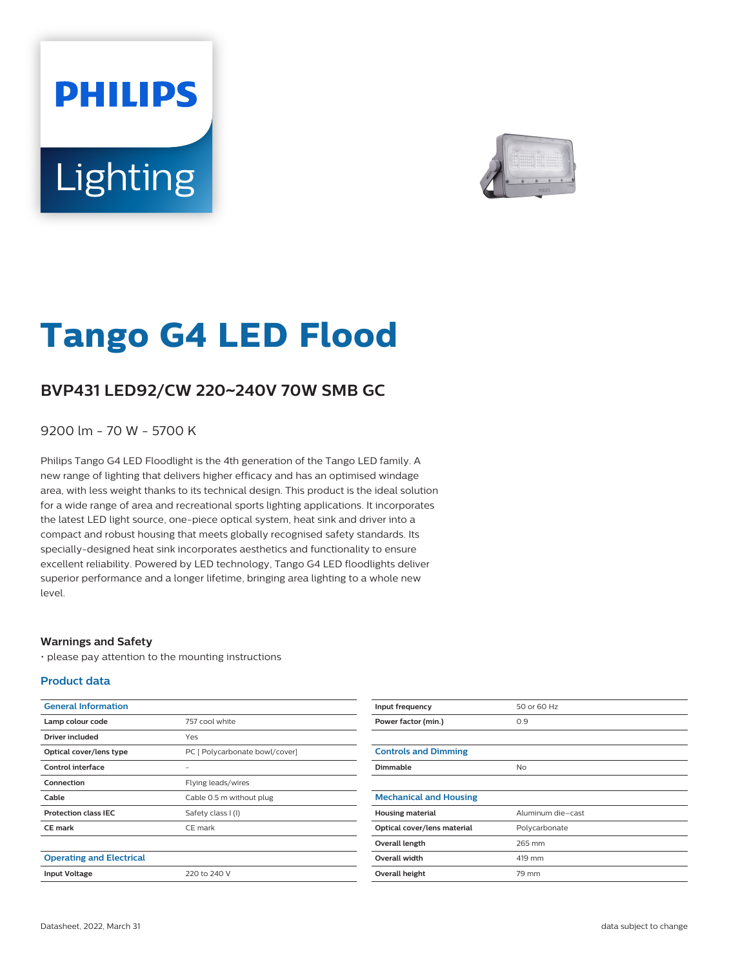# **PHILIPS** Lighting



# **Tango G4 LED Flood**

## **BVP431 LED92/CW 220**~**240V 70W SMB GC**

9200 lm - 70 W - 5700 K

Philips Tango G4 LED Floodlight is the 4th generation of the Tango LED family. A new range of lighting that delivers higher efficacy and has an optimised windage area, with less weight thanks to its technical design. This product is the ideal solution for a wide range of area and recreational sports lighting applications. It incorporates the latest LED light source, one-piece optical system, heat sink and driver into a compact and robust housing that meets globally recognised safety standards. Its specially-designed heat sink incorporates aesthetics and functionality to ensure excellent reliability. Powered by LED technology, Tango G4 LED floodlights deliver superior performance and a longer lifetime, bringing area lighting to a whole new level.

#### **Warnings and Safety**

• please pay attention to the mounting instructions

#### **Product data**

| <b>General Information</b>      |                                |
|---------------------------------|--------------------------------|
| Lamp colour code                | 757 cool white                 |
| Driver included                 | Yes                            |
| Optical cover/lens type         | PC [ Polycarbonate bowl/cover] |
| Control interface               |                                |
| Connection                      | Flying leads/wires             |
| Cable                           | Cable 0.5 m without plug       |
| <b>Protection class IEC</b>     | Safety class I (I)             |
| <b>CE</b> mark                  | CE mark                        |
|                                 |                                |
| <b>Operating and Electrical</b> |                                |
| <b>Input Voltage</b>            | 220 to 240 V                   |

| Input frequency               | 50 or 60 Hz       |
|-------------------------------|-------------------|
| Power factor (min.)           | 0.9               |
|                               |                   |
| <b>Controls and Dimming</b>   |                   |
| Dimmable                      | <b>No</b>         |
|                               |                   |
| <b>Mechanical and Housing</b> |                   |
| <b>Housing material</b>       | Aluminum die-cast |
| Optical cover/lens material   | Polycarbonate     |
| Overall length                | 265 mm            |
| <b>Overall width</b>          | 419 mm            |
| Overall height                | 79 mm             |
|                               |                   |